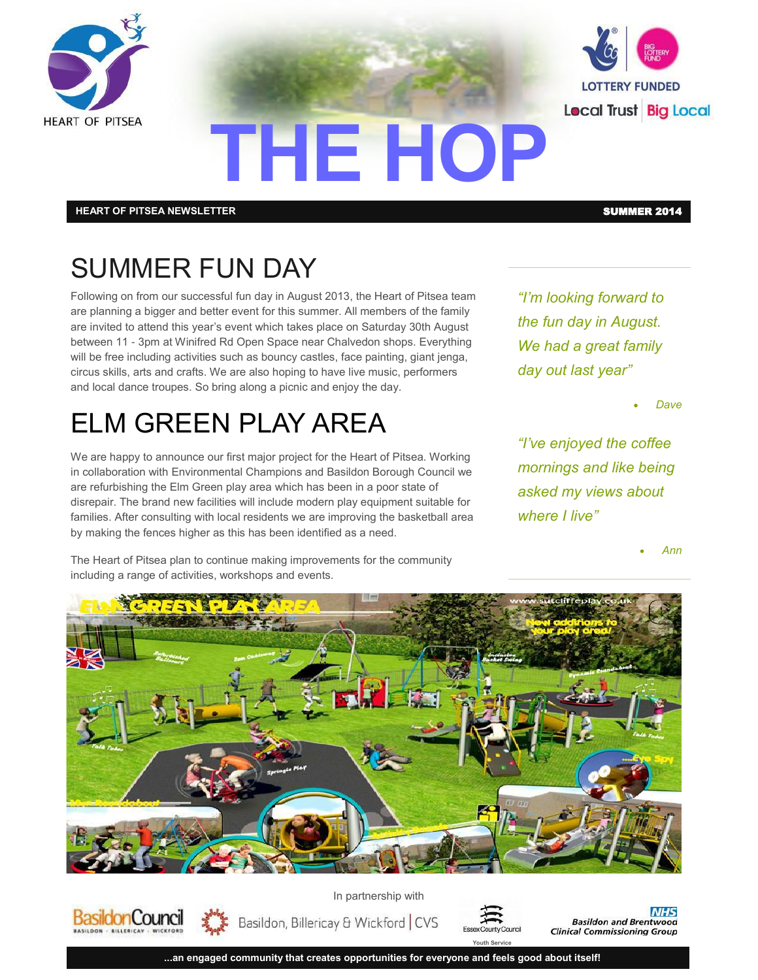



#### **HEART OF PITSEA NEWSLETTER** SUMMER 2014

**onCounci** 

## SUMMER FUN DAY

Following on from our successful fun day in August 2013, the Heart of Pitsea team are planning a bigger and better event for this summer. All members of the family are invited to attend this year's event which takes place on Saturday 30th August between 11 - 3pm at Winifred Rd Open Space near Chalvedon shops. Everything will be free including activities such as bouncy castles, face painting, giant jenga, circus skills, arts and crafts. We are also hoping to have live music, performers and local dance troupes. So bring along a picnic and enjoy the day.

### ELM GREEN PLAY AREA

We are happy to announce our first major project for the Heart of Pitsea. Working in collaboration with Environmental Champions and Basildon Borough Council we are refurbishing the Elm Green play area which has been in a poor state of disrepair. The brand new facilities will include modern play equipment suitable for families. After consulting with local residents we are improving the basketball area by making the fences higher as this has been identified as a need.

The Heart of Pitsea plan to continue making improvements for the community including a range of activities, workshops and events.

*"I'm looking forward to the fun day in August. We had a great family day out last year"*

*Dave*

*"I've enjoyed the coffee mornings and like being asked my views about where I live"*

*Ann*



**THE HOP**

In partnership with





**Youth Service**

**NHS Basildon and Brentwood Clinical Commissioning Group** 

**...an engaged community that creates opportunities for everyone and feels good about itself!**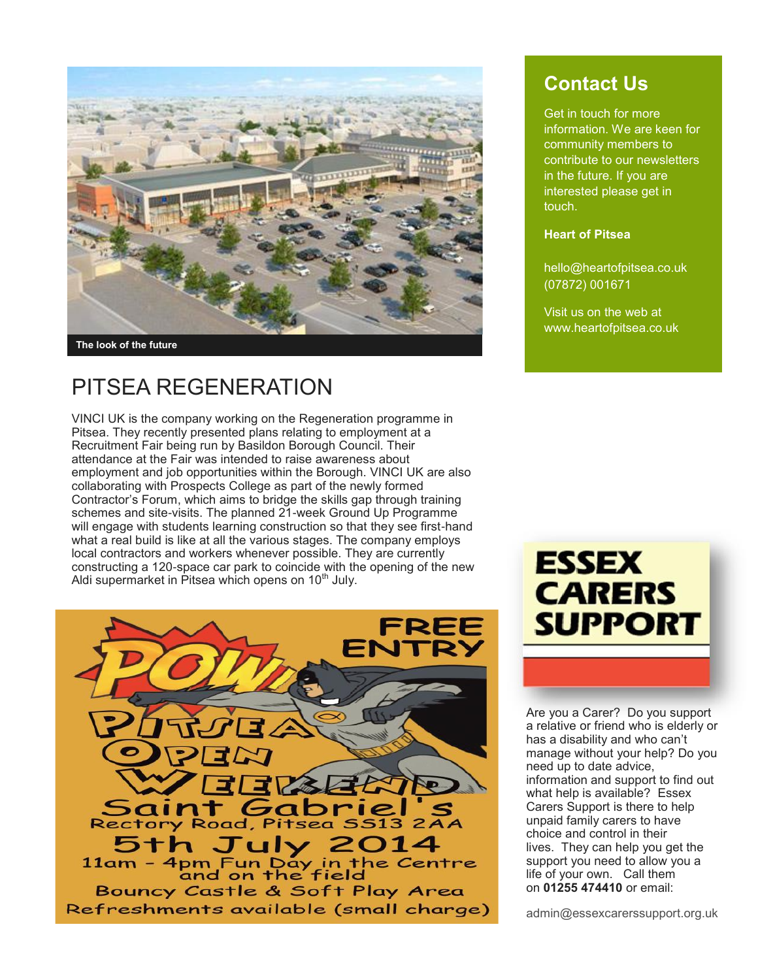

### PITSEA REGENERATION

VINCI UK is the company working on the Regeneration programme in Pitsea. They recently presented plans relating to employment at a Recruitment Fair being run by Basildon Borough Council. Their attendance at the Fair was intended to raise awareness about employment and job opportunities within the Borough. VINCI UK are also collaborating with Prospects College as part of the newly formed Contractor's Forum, which aims to bridge the skills gap through training schemes and site-visits. The planned 21-week Ground Up Programme will engage with students learning construction so that they see first-hand what a real build is like at all the various stages. The company employs local contractors and workers whenever possible. They are currently constructing a 120-space car park to coincide with the opening of the new Aldi supermarket in Pitsea which opens on 10<sup>th</sup> July.



### **Contact Us**

Get in touch for more information. We are keen for community members to contribute to our newsletters in the future. If you are interested please get in touch.

#### **Heart of Pitsea**

hello@heartofpitsea.co.uk (07872) 001671

Visit us on the web at www.heartofpitsea.co.uk



Are you a Carer? Do you support a relative or friend who is elderly or has a disability and who can't manage without your help? Do you need up to date advice, information and support to find out what help is available? Essex Carers Support is there to help unpaid family carers to have choice and control in their lives. They can help you get the support you need to allow you a life of your own. Call them on **01255 474410** or email:

admin@essexcarerssupport.org.uk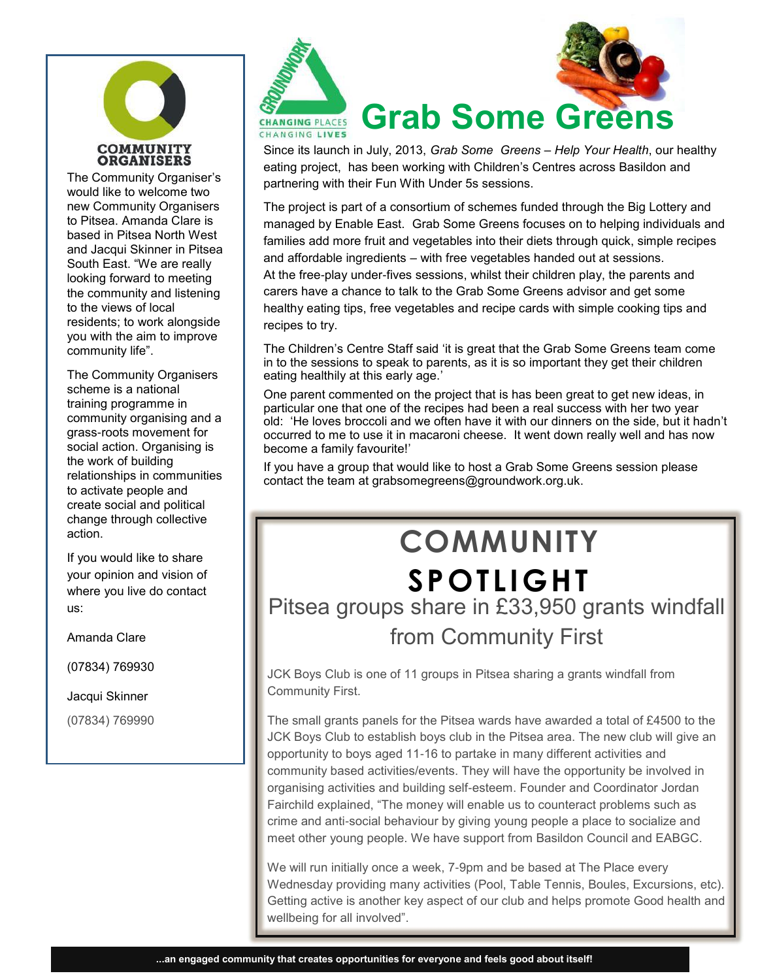

The Community Organiser's would like to welcome two new Community Organisers to Pitsea. Amanda Clare is based in Pitsea North West and Jacqui Skinner in Pitsea South East. "We are really looking forward to meeting the community and listening to the views of local residents; to work alongside you with the aim to improve community life".

The Community Organisers scheme is a national training programme in community organising and a grass-roots movement for social action. Organising is the work of building relationships in communities to activate people and create social and political change through collective action.

If you would like to share your opinion and vision of where you live do contact us:

Amanda Clare

(07834) 769930

Jacqui Skinner

(07834) 769990



# **Grab Some Gree**

Since its launch in July, 2013, *Grab Some Greens – Help Your Health*, our healthy eating project, has been working with Children's Centres across Basildon and partnering with their Fun With Under 5s sessions.

The project is part of a consortium of schemes funded through the Big Lottery and managed by Enable East. Grab Some Greens focuses on to helping individuals and families add more fruit and vegetables into their diets through quick, simple recipes and affordable ingredients – with free vegetables handed out at sessions. At the free-play under-fives sessions, whilst their children play, the parents and carers have a chance to talk to the Grab Some Greens advisor and get some healthy eating tips, free vegetables and recipe cards with simple cooking tips and recipes to try.

The Children's Centre Staff said 'it is great that the Grab Some Greens team come in to the sessions to speak to parents, as it is so important they get their children eating healthily at this early age.'

One parent commented on the project that is has been great to get new ideas, in particular one that one of the recipes had been a real success with her two year old: 'He loves broccoli and we often have it with our dinners on the side, but it hadn't occurred to me to use it in macaroni cheese. It went down really well and has now become a family favourite!'

If you have a group that would like to host a Grab Some Greens session please contact the team at grabsomegreens@groundwork.org.uk.

# **COMMUNITY SPOTLIGHT** Pitsea groups share in £33,950 grants windfall from Community First

JCK Boys Club is one of 11 groups in Pitsea sharing a grants windfall from Community First.

The small grants panels for the Pitsea wards have awarded a total of £4500 to the JCK Boys Club to establish boys club in the Pitsea area. The new club will give an opportunity to boys aged 11-16 to partake in many different activities and community based activities/events. They will have the opportunity be involved in organising activities and building self-esteem. Founder and Coordinator Jordan Fairchild explained, "The money will enable us to counteract problems such as crime and anti-social behaviour by giving young people a place to socialize and meet other young people. We have support from Basildon Council and EABGC.

We will run initially once a week, 7-9pm and be based at The Place every Wednesday providing many activities (Pool, Table Tennis, Boules, Excursions, etc). Getting active is another key aspect of our club and helps promote Good health and wellbeing for all involved".